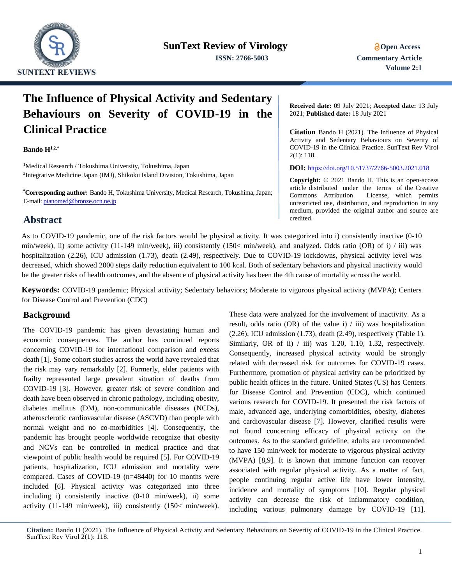

# **The Influence of Physical Activity and Sedentary Behaviours on Severity of COVID-19 in the Clinical Practice**

#### **Bando H1,2,\***

<sup>1</sup>Medical Research / Tokushima University, Tokushima, Japan 2 Integrative Medicine Japan (IMJ), Shikoku Island Division, Tokushima, Japan

**\*Corresponding author:** Bando H, Tokushima University, Medical Research, Tokushima, Japan; E-mail[: pianomed@bronze.ocn.ne.jp](mailto:pianomed@bronze.ocn.ne.jp)

**Abstract** 

**Received date:** 09 July 2021; **Accepted date:** 13 July 2021; **Published date:** 18 July 2021

**Citation** Bando H (2021). The Influence of Physical Activity and Sedentary Behaviours on Severity of COVID-19 in the Clinical Practice. SunText Rev Virol 2(1): 118.

**DOI:** <https://doi.org/10.51737/2766-5003.2021.018>

**Copyright:** © 2021 Bando H. This is an open-access article distributed under the terms of the Creative Commons Attribution License, which permits unrestricted use, distribution, and reproduction in any medium, provided the original author and source are credited.

As to COVID-19 pandemic, one of the risk factors would be physical activity. It was categorized into i) consistently inactive (0-10 min/week), ii) some activity (11-149 min/week), iii) consistently (150< min/week), and analyzed. Odds ratio (OR) of i) / iii) was hospitalization (2.26), ICU admission (1.73), death (2.49), respectively. Due to COVID-19 lockdowns, physical activity level was decreased, which showed 2000 steps daily reduction equivalent to 100 kcal. Both of sedentary behaviors and physical inactivity would be the greater risks of health outcomes, and the absence of physical activity has been the 4th cause of mortality across the world.

**Keywords:** COVID-19 pandemic; Physical activity; Sedentary behaviors; Moderate to vigorous physical activity (MVPA); Centers for Disease Control and Prevention (CDC)

### **Background**

The COVID-19 pandemic has given devastating human and economic consequences. The author has continued reports concerning COVID-19 for international comparison and excess death [1]. Some cohort studies across the world have revealed that the risk may vary remarkably [2]. Formerly, elder patients with frailty represented large prevalent situation of deaths from COVID-19 [3]. However, greater risk of severe condition and death have been observed in chronic pathology, including obesity, diabetes mellitus (DM), non-communicable diseases (NCDs), atherosclerotic cardiovascular disease (ASCVD) than people with normal weight and no co-morbidities [4]. Consequently, the pandemic has brought people worldwide recognize that obesity and NCVs can be controlled in medical practice and that viewpoint of public health would be required [5]. For COVID-19 patients, hospitalization, ICU admission and mortality were compared. Cases of COVID-19 (n=48440) for 10 months were included [6]. Physical activity was categorized into three including i) consistently inactive (0-10 min/week), ii) some activity (11-149 min/week), iii) consistently (150< min/week).

These data were analyzed for the involvement of inactivity. As a result, odds ratio (OR) of the value i) / iii) was hospitalization (2.26), ICU admission (1.73), death (2.49), respectively (Table 1). Similarly, OR of ii)  $/$  iii) was 1.20, 1.10, 1.32, respectively. Consequently, increased physical activity would be strongly related with decreased risk for outcomes for COVID-19 cases. Furthermore, promotion of physical activity can be prioritized by public health offices in the future. United States (US) has Centers for Disease Control and Prevention (CDC), which continued various research for COVID-19. It presented the risk factors of male, advanced age, underlying comorbidities, obesity, diabetes and cardiovascular disease [7]. However, clarified results were not found concerning efficacy of physical activity on the outcomes. As to the standard guideline, adults are recommended to have 150 min/week for moderate to vigorous physical activity (MVPA) [8,9]. It is known that immune function can recover associated with regular physical activity. As a matter of fact, people continuing regular active life have lower intensity, incidence and mortality of symptoms [10]. Regular physical activity can decrease the risk of inflammatory condition, including various pulmonary damage by COVID-19 [11].

**Citation:** Bando H (2021). The Influence of Physical Activity and Sedentary Behaviours on Severity of COVID-19 in the Clinical Practice. SunText Rev Virol 2(1): 118.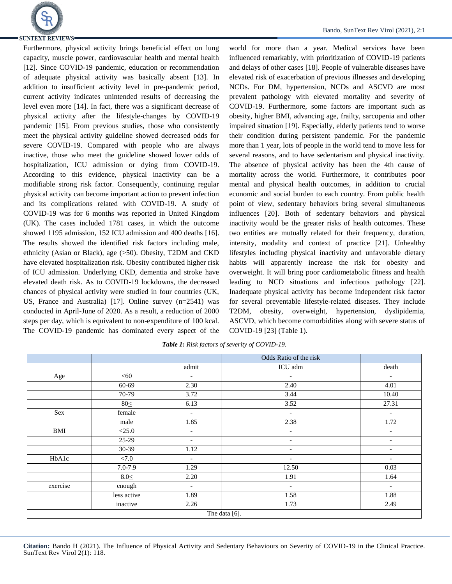

Furthermore, physical activity brings beneficial effect on lung capacity, muscle power, cardiovascular health and mental health [12]. Since COVID-19 pandemic, education or recommendation of adequate physical activity was basically absent [13]. In addition to insufficient activity level in pre-pandemic period, current activity indicates unintended results of decreasing the level even more [14]. In fact, there was a significant decrease of physical activity after the lifestyle-changes by COVID-19 pandemic [15]. From previous studies, those who consistently meet the physical activity guideline showed decreased odds for severe COVID-19. Compared with people who are always inactive, those who meet the guideline showed lower odds of hospitalization, ICU admission or dying from COVID-19. According to this evidence, physical inactivity can be a modifiable strong risk factor. Consequently, continuing regular physical activity can become important action to prevent infection and its complications related with COVID-19. A study of COVID-19 was for 6 months was reported in United Kingdom (UK). The cases included 1781 cases, in which the outcome showed 1195 admission, 152 ICU admission and 400 deaths [16]. The results showed the identified risk factors including male, ethnicity (Asian or Black), age (>50). Obesity, T2DM and CKD have elevated hospitalization risk. Obesity contributed higher risk of ICU admission. Underlying CKD, dementia and stroke have elevated death risk. As to COVID-19 lockdowns, the decreased chances of physical activity were studied in four countries (UK, US, France and Australia) [17]. Online survey (n=2541) was conducted in April-June of 2020. As a result, a reduction of 2000 steps per day, which is equivalent to non-expenditure of 100 kcal. The COVID-19 pandemic has dominated every aspect of the

world for more than a year. Medical services have been influenced remarkably, with prioritization of COVID-19 patients and delays of other cases [18]. People of vulnerable diseases have elevated risk of exacerbation of previous illnesses and developing NCDs. For DM, hypertension, NCDs and ASCVD are most prevalent pathology with elevated mortality and severity of COVID-19. Furthermore, some factors are important such as obesity, higher BMI, advancing age, frailty, sarcopenia and other impaired situation [19]. Especially, elderly patients tend to worse their condition during persistent pandemic. For the pandemic more than 1 year, lots of people in the world tend to move less for several reasons, and to have sedentarism and physical inactivity. The absence of physical activity has been the 4th cause of mortality across the world. Furthermore, it contributes poor mental and physical health outcomes, in addition to crucial economic and social burden to each country. From public health point of view, sedentary behaviors bring several simultaneous influences [20]. Both of sedentary behaviors and physical inactivity would be the greater risks of health outcomes. These two entities are mutually related for their frequency, duration, intensity, modality and context of practice [21]. Unhealthy lifestyles including physical inactivity and unfavorable dietary habits will apparently increase the risk for obesity and overweight. It will bring poor cardiometabolic fitness and health leading to NCD situations and infectious pathology [22]. Inadequate physical activity has become independent risk factor for several preventable lifestyle-related diseases. They include T2DM, obesity, overweight, hypertension, dyslipidemia, ASCVD, which become comorbidities along with severe status of COVID-19 [23] (Table 1).

|          |             |                              | Odds Ratio of the risk       |                          |
|----------|-------------|------------------------------|------------------------------|--------------------------|
|          |             | admit                        | ICU adm                      | death                    |
| Age      | < 60        | $\overline{\phantom{a}}$     | $\overline{\phantom{a}}$     | $\overline{\phantom{a}}$ |
|          | 60-69       | 2.30                         | 2.40                         | 4.01                     |
|          | 70-79       | 3.72                         | 3.44                         | 10.40                    |
|          | $80 \leq$   | 6.13                         | 3.52                         | 27.31                    |
| Sex      | female      | $\overline{\phantom{a}}$     | $\overline{\phantom{a}}$     | $\overline{\phantom{a}}$ |
|          | male        | 1.85                         | 2.38                         | 1.72                     |
| BMI      | $<$ 25.0    | $\qquad \qquad \blacksquare$ | $\qquad \qquad \blacksquare$ | $\overline{\phantom{a}}$ |
|          | 25-29       | $\overline{\phantom{a}}$     | $\overline{\phantom{0}}$     |                          |
|          | $30-39$     | 1.12                         | $\overline{\phantom{a}}$     | $\overline{\phantom{a}}$ |
| HbA1c    | < 7.0       | $\overline{\phantom{a}}$     | $\qquad \qquad \blacksquare$ | $\overline{\phantom{a}}$ |
|          | $7.0 - 7.9$ | 1.29                         | 12.50                        | 0.03                     |
|          | $8.0 \leq$  | 2.20                         | 1.91                         | 1.64                     |
| exercise | enough      | $\overline{\phantom{a}}$     | $\overline{\phantom{a}}$     | $\overline{\phantom{a}}$ |
|          | less active | 1.89                         | 1.58                         | 1.88                     |
|          | inactive    | 2.26                         | 1.73                         | 2.49                     |
|          |             | The data [6].                |                              |                          |

*Table 1: Risk factors of severity of COVID-19.*